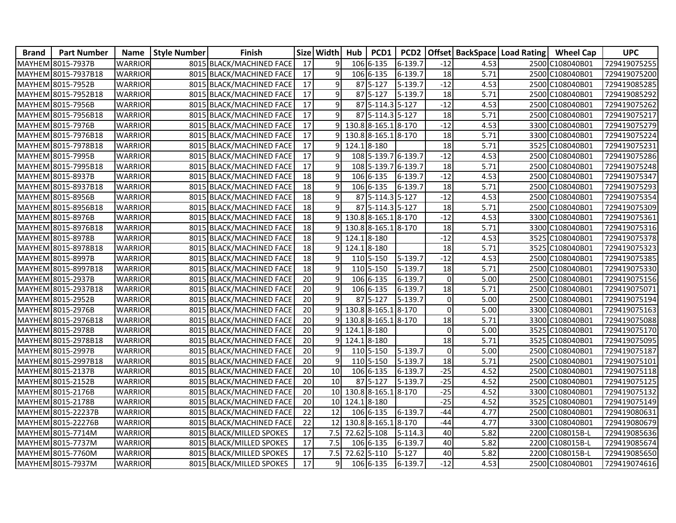| <b>Brand</b> | <b>Part Number</b>  | <b>Name</b>    | <b>Style Number</b> | <b>Finish</b>            | <b>Size</b>     | <b>Width</b>    | Hub         | PCD1                | PCD <sub>2</sub>   |                 |      | <b>Offset BackSpace Load Rating</b> | <b>Wheel Cap</b> | <b>UPC</b>   |
|--------------|---------------------|----------------|---------------------|--------------------------|-----------------|-----------------|-------------|---------------------|--------------------|-----------------|------|-------------------------------------|------------------|--------------|
|              | MAYHEM 8015-7937B   | <b>WARRIOR</b> |                     | 8015 BLACK/MACHINED FACE | 17              | 9               |             | 106 6-135           | 6-139.7            | $-12$           | 4.53 |                                     | 2500 C108040B01  | 729419075255 |
|              | MAYHEM 8015-7937B18 | <b>WARRIOR</b> |                     | 8015 BLACK/MACHINED FACE | 17              | 9               |             | 106 6-135           | 6-139.7            | 18              | 5.71 |                                     | 2500 C108040B01  | 729419075200 |
|              | MAYHEM 8015-7952B   | <b>WARRIOR</b> |                     | 8015 BLACK/MACHINED FACE | $\overline{17}$ | 9               |             | 87 5-127            | 5-139.7            | $-12$           | 4.53 |                                     | 2500 C108040B01  | 729419085285 |
|              | MAYHEM 8015-7952B18 | <b>WARRIOR</b> |                     | 8015 BLACK/MACHINED FACE | $\overline{17}$ | 9               |             | 87 5-127            | $5 - 139.7$        | 18              | 5.71 |                                     | 2500 C108040B01  | 729419085292 |
|              | MAYHEM 8015-7956B   | <b>WARRIOR</b> |                     | 8015 BLACK/MACHINED FACE | 17              | 9               |             | 87 5-114.3 5-127    |                    | $-12$           | 4.53 |                                     | 2500 C108040B01  | 729419075262 |
|              | MAYHEM 8015-7956B18 | <b>WARRIOR</b> |                     | 8015 BLACK/MACHINED FACE | 17              | $\overline{9}$  |             | 87 5-114.3 5-127    |                    | 18              | 5.71 |                                     | 2500 C108040B01  | 729419075217 |
|              | MAYHEM 8015-7976B   | <b>WARRIOR</b> |                     | 8015 BLACK/MACHINED FACE | $\overline{17}$ | 9               |             | 130.8 8-165.1 8-170 |                    | $-12$           | 4.53 |                                     | 3300 C108040B01  | 729419075279 |
|              | MAYHEM 8015-7976B18 | <b>WARRIOR</b> |                     | 8015 BLACK/MACHINED FACE | $\overline{17}$ |                 |             | 130.8 8-165.1 8-170 |                    | 18              | 5.71 |                                     | 3300 C108040B01  | 729419075224 |
|              | MAYHEM 8015-7978B18 | <b>WARRIOR</b> |                     | 8015 BLACK/MACHINED FACE | 17              | 9               | 124.18-180  |                     |                    | $\overline{18}$ | 5.71 |                                     | 3525 C108040B01  | 729419075231 |
|              | MAYHEM 8015-7995B   | <b>WARRIOR</b> |                     | 8015 BLACK/MACHINED FACE | $\overline{17}$ | 9               |             | 108 5-139.7 6-139.7 |                    | $-12$           | 4.53 |                                     | 2500 C108040B01  | 729419075286 |
|              | MAYHEM 8015-7995B18 | <b>WARRIOR</b> |                     | 8015 BLACK/MACHINED FACE | $\overline{17}$ | 9               |             | 108 5-139.7 6-139.7 |                    | 18              | 5.71 |                                     | 2500 C108040B01  | 729419075248 |
|              | MAYHEM 8015-8937B   | <b>WARRIOR</b> |                     | 8015 BLACK/MACHINED FACE | 18              | 9               |             | 106 6-135           | 6-139.7            | $-12$           | 4.53 |                                     | 2500 C108040B01  | 729419075347 |
|              | MAYHEM 8015-8937B18 | <b>WARRIOR</b> |                     | 8015 BLACK/MACHINED FACE | 18              | 9               |             | 106 6-135           | 6-139.7            | $\overline{18}$ | 5.71 |                                     | 2500 C108040B01  | 729419075293 |
|              | MAYHEM 8015-8956B   | <b>WARRIOR</b> |                     | 8015 BLACK/MACHINED FACE | $\overline{18}$ | $\overline{9}$  |             | 87 5-114.3 5-127    |                    | $-12$           | 4.53 |                                     | 2500 C108040B01  | 729419075354 |
|              | MAYHEM 8015-8956B18 | <b>WARRIOR</b> |                     | 8015 BLACK/MACHINED FACE | 18              | 9               |             | 87 5-114.3 5-127    |                    | 18              | 5.71 |                                     | 2500 C108040B01  | 729419075309 |
|              | MAYHEM 8015-8976B   | <b>WARRIOR</b> |                     | 8015 BLACK/MACHINED FACE | 18              |                 |             | 130.8 8-165.1 8-170 |                    | $-12$           | 4.53 |                                     | 3300 C108040B01  | 729419075361 |
|              | MAYHEM 8015-8976B18 | <b>WARRIOR</b> |                     | 8015 BLACK/MACHINED FACE | 18              | 9               |             | 130.8 8-165.1       | 8-170              | 18              | 5.71 |                                     | 3300 C108040B01  | 729419075316 |
|              | MAYHEM 8015-8978B   | <b>WARRIOR</b> |                     | 8015 BLACK/MACHINED FACE | 18              | 9               | 124.18-180  |                     |                    | $-12$           | 4.53 |                                     | 3525 C108040B01  | 729419075378 |
|              | MAYHEM 8015-8978B18 | <b>WARRIOR</b> |                     | 8015 BLACK/MACHINED FACE | $\overline{18}$ | q               | 124.18-180  |                     |                    | 18              | 5.71 |                                     | 3525 C108040B01  | 729419075323 |
|              | MAYHEM 8015-8997B   | <b>WARRIOR</b> |                     | 8015 BLACK/MACHINED FACE | 18              | 9               |             | 110 5-150           | 5-139.7            | $-12$           | 4.53 |                                     | 2500 C108040B01  | 729419075385 |
|              | MAYHEM 8015-8997B18 | <b>WARRIOR</b> |                     | 8015 BLACK/MACHINED FACE | $\overline{18}$ | 9               |             | 110 5-150           | 5-139.7            | 18              | 5.71 |                                     | 2500 C108040B01  | 729419075330 |
|              | MAYHEM 8015-2937B   | <b>WARRIOR</b> |                     | 8015 BLACK/MACHINED FACE | 20              | 9               |             | 106 6-135           | 6-139.7            | $\mathbf 0$     | 5.00 |                                     | 2500 C108040B01  | 729419075156 |
|              | MAYHEM 8015-2937B18 | <b>WARRIOR</b> |                     | 8015 BLACK/MACHINED FACE | 20              | 9               |             | 106 6-135           | $6 - 139.7$        | 18              | 5.71 |                                     | 2500 C108040B01  | 729419075071 |
|              | MAYHEM 8015-2952B   | <b>WARRIOR</b> |                     | 8015 BLACK/MACHINED FACE | 20              | 9               |             | 87 5-127            | $\sqrt{5} - 139.7$ | $\pmb{0}$       | 5.00 |                                     | 2500 C108040B01  | 729419075194 |
|              | MAYHEM 8015-2976B   | <b>WARRIOR</b> |                     | 8015 BLACK/MACHINED FACE | 20              | $\mathsf{q}$    |             | 130.8 8-165.1       | 8-170              | $\mathbf 0$     | 5.00 |                                     | 3300 C108040B01  | 729419075163 |
|              | MAYHEM 8015-2976B18 | WARRIOR        |                     | 8015 BLACK/MACHINED FACE | $\overline{20}$ |                 |             | 130.8 8-165.1 8-170 |                    | 18              | 5.71 |                                     | 3300 C108040B01  | 729419075088 |
|              | MAYHEM 8015-2978B   | <b>WARRIOR</b> |                     | 8015 BLACK/MACHINED FACE | 20              |                 | 124.18-180  |                     |                    | $\mathbf 0$     | 5.00 |                                     | 3525 C108040B01  | 729419075170 |
|              | MAYHEM 8015-2978B18 | <b>WARRIOR</b> |                     | 8015 BLACK/MACHINED FACE | 20              | ٩l              | 124.18-180  |                     |                    | $\overline{18}$ | 5.71 |                                     | 3525 C108040B01  | 729419075095 |
|              | MAYHEM 8015-2997B   | <b>WARRIOR</b> |                     | 8015 BLACK/MACHINED FACE | $\overline{20}$ | 9               |             | 110 5-150           | 5-139.7            | $\mathbf 0$     | 5.00 |                                     | 2500 C108040B01  | 729419075187 |
|              | MAYHEM 8015-2997B18 | <b>WARRIOR</b> |                     | 8015 BLACK/MACHINED FACE | 20              | 9               |             | 110 5-150           | 5-139.7            | 18              | 5.71 |                                     | 2500 C108040B01  | 729419075101 |
|              | MAYHEM 8015-2137B   | <b>WARRIOR</b> |                     | 8015 BLACK/MACHINED FACE | 20              | 10              |             | 106 6-135           | 6-139.7            | $-25$           | 4.52 |                                     | 2500 C108040B01  | 729419075118 |
|              | MAYHEM 8015-2152B   | <b>WARRIOR</b> |                     | 8015 BLACK/MACHINED FACE | $\overline{20}$ | $\overline{10}$ |             | 87 5-127            | 5-139.7            | $-25$           | 4.52 |                                     | 2500 C108040B01  | 729419075125 |
|              | MAYHEM 8015-2176B   | <b>WARRIOR</b> |                     | 8015 BLACK/MACHINED FACE | $\overline{20}$ | 10              |             | 130.8 8-165.1       | 8-170              | $-25$           | 4.52 |                                     | 3300 C108040B01  | 729419075132 |
|              | MAYHEM 8015-2178B   | <b>WARRIOR</b> |                     | 8015 BLACK/MACHINED FACE | 20              | 10 <sup>1</sup> | 124.18-180  |                     |                    | $-25$           | 4.52 |                                     | 3525 C108040B01  | 729419075149 |
|              | MAYHEM 8015-22237B  | <b>WARRIOR</b> |                     | 8015 BLACK/MACHINED FACE | $\overline{22}$ | 12              |             | 106 6-135           | 6-139.7            | $-44$           | 4.77 |                                     | 2500 C108040B01  | 729419080631 |
|              | MAYHEM 8015-22276B  | <b>WARRIOR</b> |                     | 8015 BLACK/MACHINED FACE | $\overline{22}$ | 12              |             | 130.8 8-165.1       | 8-170              | $-44$           | 4.77 |                                     | 3300 C108040B01  | 729419080679 |
|              | MAYHEM 8015-7714M   | <b>WARRIOR</b> |                     | 8015 BLACK/MILLED SPOKES | 17              | 7.5             | 72.62 5-108 |                     | $5 - 114.3$        | 40              | 5.82 |                                     | 2200 C108015B-L  | 729419085636 |
|              | MAYHEM 8015-7737M   | <b>WARRIOR</b> |                     | 8015 BLACK/MILLED SPOKES | 17              | 7.5             |             | 106 6-135           | 6-139.7            | 40              | 5.82 |                                     | 2200 C108015B-L  | 729419085674 |
|              | MAYHEM 8015-7760M   | <b>WARRIOR</b> |                     | 8015 BLACK/MILLED SPOKES | $17\,$          | 7.5             |             | 72.62 5-110         | $5 - 127$          | 40              | 5.82 |                                     | 2200 C108015B-L  | 729419085650 |
|              | MAYHEM 8015-7937M   | <b>WARRIOR</b> |                     | 8015 BLACK/MILLED SPOKES | $\overline{17}$ | 9               |             | 106 6-135           | 6-139.7            | $-12$           | 4.53 |                                     | 2500 C108040B01  | 729419074616 |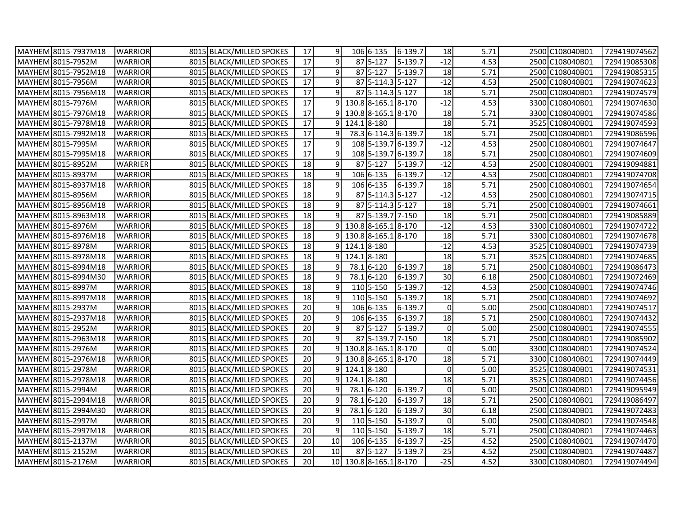|               | MAYHEM 8015-7937M18 | <b>WARRIOR</b> | 8015 BLACK/MILLED SPOKES | 17              | 9              | 106 6-135              | 6-139.7              | 18              | 5.71 | 2500 C108040B01 | 729419074562 |
|---------------|---------------------|----------------|--------------------------|-----------------|----------------|------------------------|----------------------|-----------------|------|-----------------|--------------|
|               | MAYHEM 8015-7952M   | <b>WARRIOR</b> | 8015 BLACK/MILLED SPOKES | 17              | 9              | 87 5-127               | 5-139.7              | $-12$           | 4.53 | 2500 C108040B01 | 729419085308 |
|               | MAYHEM 8015-7952M18 | <b>WARRIOR</b> | 8015 BLACK/MILLED SPOKES | $\overline{17}$ | 9              | 87 5-127               | 5-139.7              | 18              | 5.71 | 2500 C108040B01 | 729419085315 |
|               | MAYHEM 8015-7956M   | <b>WARRIOR</b> | 8015 BLACK/MILLED SPOKES | 17              | 9              | 87 5-114.3 5-127       |                      | $-12$           | 4.53 | 2500 C108040B01 | 729419074623 |
|               | MAYHEM 8015-7956M18 | <b>WARRIOR</b> | 8015 BLACK/MILLED SPOKES | $\overline{17}$ | 9              | 87 5-114.3 5-127       |                      | 18              | 5.71 | 2500 C108040B01 | 729419074579 |
|               | MAYHEM 8015-7976M   | <b>WARRIOR</b> | 8015 BLACK/MILLED SPOKES | 17              | $\mathsf{q}$   | 130.8 8-165.1 8-170    |                      | $-12$           | 4.53 | 3300 C108040B01 | 729419074630 |
|               | MAYHEM 8015-7976M18 | <b>WARRIOR</b> | 8015 BLACK/MILLED SPOKES | 17              |                | 130.8 8-165.1 8-170    |                      | 18              | 5.71 | 3300 C108040B01 | 729419074586 |
|               | MAYHEM 8015-7978M18 | <b>WARRIOR</b> | 8015 BLACK/MILLED SPOKES | $\overline{17}$ |                | 124.18-180             |                      | 18              | 5.71 | 3525 C108040B01 | 729419074593 |
|               | MAYHEM 8015-7992M18 | <b>WARRIOR</b> | 8015 BLACK/MILLED SPOKES | $\overline{17}$ | 9              |                        | 78.3 6-114.3 6-139.7 | 18              | 5.71 | 2500 C108040B01 | 729419086596 |
|               | MAYHEM 8015-7995M   | <b>WARRIOR</b> | 8015 BLACK/MILLED SPOKES | $\overline{17}$ | 9              |                        | 108 5-139.7 6-139.7  | $-12$           | 4.53 | 2500 C108040B01 | 729419074647 |
|               | MAYHEM 8015-7995M18 | <b>WARRIOR</b> | 8015 BLACK/MILLED SPOKES | $\overline{17}$ | 9              |                        | 108 5-139.7 6-139.7  | 18              | 5.71 | 2500 C108040B01 | 729419074609 |
|               | MAYHEM 8015-8952M   | <b>WARRIER</b> | 8015 BLACK/MILLED SPOKES | 18              | 9              | $\overline{87}$ 5-127  | 5-139.7              | $-12$           | 4.53 | 2500 C108040B01 | 729419094881 |
|               | MAYHEM 8015-8937M   | <b>WARRIOR</b> | 8015 BLACK/MILLED SPOKES | 18              | 9              | 106 6-135              | 6-139.7              | $-12$           | 4.53 | 2500 C108040B01 | 729419074708 |
|               | MAYHEM 8015-8937M18 | <b>WARRIOR</b> | 8015 BLACK/MILLED SPOKES | 18              | 9              | 106 6-135              | 6-139.7              | 18              | 5.71 | 2500 C108040B01 | 729419074654 |
|               | MAYHEM 8015-8956M   | <b>WARRIOR</b> | 8015 BLACK/MILLED SPOKES | $18\,$          | 9              | 875-114.35-127         |                      | $-12$           | 4.53 | 2500 C108040B01 | 729419074715 |
|               | MAYHEM 8015-8956M18 | <b>WARRIOR</b> | 8015 BLACK/MILLED SPOKES | 18              | 9              | 87 5-114.3 5-127       |                      | 18              | 5.71 | 2500 C108040B01 | 729419074661 |
|               | MAYHEM 8015-8963M18 | <b>WARRIOR</b> | 8015 BLACK/MILLED SPOKES | 18              | 9              | 87 5-139.7 7-150       |                      | 18              | 5.71 | 2500 C108040B01 | 729419085889 |
|               | MAYHEM 8015-8976M   | <b>WARRIOR</b> | 8015 BLACK/MILLED SPOKES | $\overline{18}$ | ٩l             | 130.8 8-165.1 8-170    |                      | $-12$           | 4.53 | 3300 C108040B01 | 729419074722 |
|               | MAYHEM 8015-8976M18 | <b>WARRIOR</b> | 8015 BLACK/MILLED SPOKES | $\overline{18}$ |                | 130.8 8-165.1 8-170    |                      | 18              | 5.71 | 3300 C108040B01 | 729419074678 |
|               | MAYHEM 8015-8978M   | <b>WARRIOR</b> | 8015 BLACK/MILLED SPOKES | $\overline{18}$ | ٩l             | 124.18-180             |                      | $-12$           | 4.53 | 3525 C108040B01 | 729419074739 |
|               | MAYHEM 8015-8978M18 | <b>WARRIOR</b> | 8015 BLACK/MILLED SPOKES | 18              |                | 124.18-180             |                      | 18              | 5.71 | 3525 C108040B01 | 729419074685 |
|               | MAYHEM 8015-8994M18 | <b>WARRIOR</b> | 8015 BLACK/MILLED SPOKES | 18              | 9              | 78.1 6-120             | 6-139.7              | 18              | 5.71 | 2500 C108040B01 | 729419086473 |
|               | MAYHEM 8015-8994M30 | <b>WARRIOR</b> | 8015 BLACK/MILLED SPOKES | 18              | 9              | 78.1 6-120             | 6-139.7              | 30              | 6.18 | 2500 C108040B01 | 729419072469 |
|               | MAYHEM 8015-8997M   | <b>WARRIOR</b> | 8015 BLACK/MILLED SPOKES | 18              | 9              | 110 5-150              | 5-139.7              | $-12$           | 4.53 | 2500 C108040B01 | 729419074746 |
|               | MAYHEM 8015-8997M18 | <b>WARRIOR</b> | 8015 BLACK/MILLED SPOKES | 18              | 9              | 110 5-150              | 5-139.7              | 18              | 5.71 | 2500 C108040B01 | 729419074692 |
|               | MAYHEM 8015-2937M   | <b>WARRIOR</b> | 8015 BLACK/MILLED SPOKES | 20              | 9              | 106 6-135              | 6-139.7              | 0               | 5.00 | 2500 C108040B01 | 729419074517 |
|               | MAYHEM 8015-2937M18 | <b>WARRIOR</b> | 8015 BLACK/MILLED SPOKES | $\overline{20}$ | 9              | 106 6-135              | 6-139.7              | $\overline{18}$ | 5.71 | 2500 C108040B01 | 729419074432 |
| <b>MAYHEM</b> | 8015-2952M          | WARRIOR        | 8015 BLACK/MILLED SPOKES | $\overline{20}$ | $\overline{9}$ | 87 5-127               | 5-139.7              | $\pmb{0}$       | 5.00 | 2500 C108040B01 | 729419074555 |
|               | MAYHEM 8015-2963M18 | <b>WARRIOR</b> | 8015 BLACK/MILLED SPOKES | 20              | 9              | 87 5-139.7 7-150       |                      | 18              | 5.71 | 2500 C108040B01 | 729419085902 |
|               | MAYHEM 8015-2976M   | <b>WARRIOR</b> | 8015 BLACK/MILLED SPOKES | $\overline{20}$ |                | 130.8 8-165.1 8-170    |                      | 0               | 5.00 | 3300 C108040B01 | 729419074524 |
|               | MAYHEM 8015-2976M18 | <b>WARRIOR</b> | 8015 BLACK/MILLED SPOKES | $\overline{20}$ | ٩l             | 130.8 8-165.1 8-170    |                      | 18              | 5.71 | 3300 C108040B01 | 729419074449 |
|               | MAYHEM 8015-2978M   | <b>WARRIOR</b> | 8015 BLACK/MILLED SPOKES | 20              |                | 124.18-180             |                      | 0               | 5.00 | 3525 C108040B01 | 729419074531 |
|               | MAYHEM 8015-2978M18 | <b>WARRIOR</b> | 8015 BLACK/MILLED SPOKES | 20              |                | 124.18-180             |                      | 18              | 5.71 | 3525 C108040B01 | 729419074456 |
|               | MAYHEM 8015-2994M   | <b>WARRIOR</b> | 8015 BLACK/MILLED SPOKES | $\overline{20}$ | 9              | 78.1 6-120             | 6-139.7              | $\overline{0}$  | 5.00 | 2500 C108040B01 | 729419095949 |
|               | MAYHEM 8015-2994M18 | <b>WARRIOR</b> | 8015 BLACK/MILLED SPOKES | $\overline{20}$ | 9              | 78.1 6-120             | 6-139.7              | $\overline{18}$ | 5.71 | 2500 C108040B01 | 729419086497 |
|               | MAYHEM 8015-2994M30 | <b>WARRIOR</b> | 8015 BLACK/MILLED SPOKES | $\overline{20}$ | $\overline{9}$ | 78.1 6-120             | 6-139.7              | 30              | 6.18 | 2500 C108040B01 | 729419072483 |
|               | MAYHEM 8015-2997M   | <b>WARRIOR</b> | 8015 BLACK/MILLED SPOKES | 20              | 9              | 110 5-150              | 5-139.7              | $\pmb{0}$       | 5.00 | 2500 C108040B01 | 729419074548 |
|               | MAYHEM 8015-2997M18 | <b>WARRIOR</b> | 8015 BLACK/MILLED SPOKES | $\overline{20}$ | 9              | 110 5-150              | 5-139.7              | 18              | 5.71 | 2500 C108040B01 | 729419074463 |
| <b>MAYHEM</b> | 8015-2137M          | <b>WARRIOR</b> | 8015 BLACK/MILLED SPOKES | 20              | 10             | 106 6-135              | 6-139.7              | $-25$           | 4.52 | 2500 C108040B01 | 729419074470 |
|               | MAYHEM 8015-2152M   | <b>WARRIOR</b> | 8015 BLACK/MILLED SPOKES | 20              | 10             | 87 5-127               | 5-139.7              | $-25$           | 4.52 | 2500 C108040B01 | 729419074487 |
|               | MAYHEM 8015-2176M   | <b>WARRIOR</b> | 8015 BLACK/MILLED SPOKES | 20              |                | 10 130.8 8-165.1 8-170 |                      | $-25$           | 4.52 | 3300 C108040B01 | 729419074494 |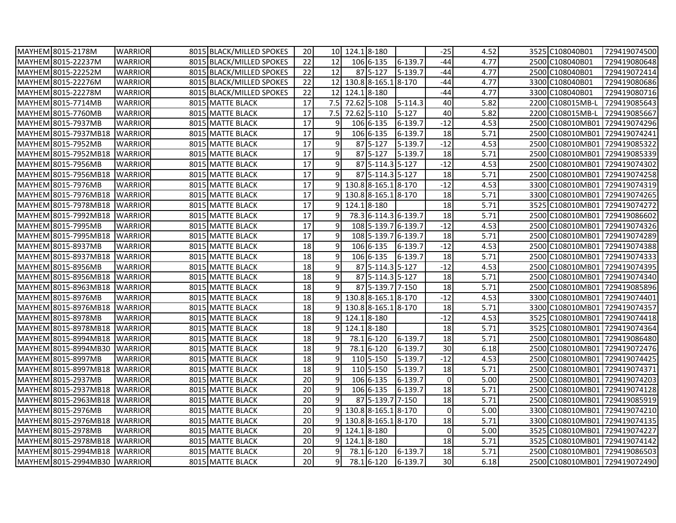| MAYHEM 8015-2178M            | <b>WARRIOR</b> | 8015 BLACK/MILLED SPOKES | 20              |                | $10 \mid 124.1 \mid 8-180$  |                        |                      | $-25$           | 4.52 | 3525 C108040B01  | 729419074500                  |
|------------------------------|----------------|--------------------------|-----------------|----------------|-----------------------------|------------------------|----------------------|-----------------|------|------------------|-------------------------------|
| MAYHEM 8015-22237M           | <b>WARRIOR</b> | 8015 BLACK/MILLED SPOKES | $\overline{22}$ | 12             |                             | 106 6-135              | 6-139.7              | $-44$           | 4.77 | 2500 C108040B01  | 729419080648                  |
| MAYHEM 8015-22252M           | <b>WARRIOR</b> | 8015 BLACK/MILLED SPOKES | $\overline{22}$ | 12             |                             | 87 5-127               | 5-139.7              | $-44$           | 4.77 | 2500 C108040B01  | 729419072414                  |
| MAYHEM 8015-22276M           | <b>WARRIOR</b> | 8015 BLACK/MILLED SPOKES | 22              |                |                             | 12 130.8 8-165.1 8-170 |                      | $-44$           | 4.77 | 3300 C108040B01  | 729419080686                  |
| MAYHEM 8015-22278M           | <b>WARRIOR</b> | 8015 BLACK/MILLED SPOKES | 22              |                | $\overline{12}$ 124.1 8-180 |                        |                      | $-44$           | 4.77 | 3300 C108040B01  | 729419080716                  |
| MAYHEM 8015-7714MB           | <b>WARRIOR</b> | 8015 MATTE BLACK         | $\overline{17}$ |                | 7.5 72.62 5-108             |                        | 5-114.3              | 40              | 5.82 | 2200 C108015MB-L | 729419085643                  |
| MAYHEM 8015-7760MB           | <b>WARRIOR</b> | 8015 MATTE BLACK         | 17              | 7.5            |                             | 72.62 5-110            | $5 - 127$            | 40              | 5.82 | 2200 C108015MB-L | 729419085667                  |
| MAYHEM 8015-7937MB           | <b>WARRIOR</b> | 8015 MATTE BLACK         | $\overline{17}$ | 9              |                             | 106 6-135              | 6-139.7              | $-12$           | 4.53 |                  | 2500 C108010MB01 729419074296 |
| MAYHEM 8015-7937MB18         | <b>WARRIOR</b> | 8015 MATTE BLACK         | $\overline{17}$ | 9              |                             | 106 6-135              | 6-139.7              | 18              | 5.71 |                  | 2500 C108010MB01 729419074241 |
| MAYHEM 8015-7952MB           | <b>WARRIOR</b> | 8015 MATTE BLACK         | 17              | 9              |                             | 87 5-127               | 5-139.7              | $-12$           | 4.53 |                  | 2500 C108010MB01 729419085322 |
| MAYHEM 8015-7952MB18         | <b>WARRIOR</b> | 8015 MATTE BLACK         | 17              | 9              |                             | 87 5-127               | 5-139.7              | 18              | 5.71 |                  | 2500 C108010MB01 729419085339 |
| MAYHEM 8015-7956MB           | <b>WARRIOR</b> | 8015 MATTE BLACK         | $\overline{17}$ | 9              |                             | 87 5-114.3 5-127       |                      | $-12$           | 4.53 |                  | 2500 C108010MB01 729419074302 |
| MAYHEM 8015-7956MB18         | <b>WARRIOR</b> | 8015 MATTE BLACK         | $\overline{17}$ | 9              |                             | 87 5-114.3 5-127       |                      | 18              | 5.71 |                  | 2500 C108010MB01 729419074258 |
| MAYHEM 8015-7976MB           | <b>WARRIOR</b> | 8015 MATTE BLACK         | 17              |                |                             | 9 130.8 8-165.1 8-170  |                      | $-12$           | 4.53 |                  | 3300 C108010MB01 729419074319 |
| MAYHEM 8015-7976MB18         | <b>WARRIOR</b> | 8015 MATTE BLACK         | 17              |                |                             | 130.8 8-165.1 8-170    |                      | 18              | 5.71 |                  | 3300 C108010MB01 729419074265 |
| MAYHEM 8015-7978MB18         | <b>WARRIOR</b> | 8015 MATTE BLACK         | 17              |                |                             | 124.18-180             |                      | 18              | 5.71 |                  | 3525 C108010MB01 729419074272 |
| MAYHEM 8015-7992MB18         | <b>WARRIOR</b> | 8015 MATTE BLACK         | $\overline{17}$ | 9              |                             |                        | 78.3 6-114.3 6-139.7 | 18              | 5.71 |                  | 2500 C108010MB01 729419086602 |
| MAYHEM 8015-7995MB           | <b>WARRIOR</b> | 8015 MATTE BLACK         | 17              | 9              |                             |                        | 108 5-139.7 6-139.7  | $-12$           | 4.53 |                  | 2500 C108010MB01 729419074326 |
| MAYHEM 8015-7995MB18         | <b>WARRIOR</b> | 8015 MATTE BLACK         | $\overline{17}$ | 9              |                             | 108 5-139.7 6-139.7    |                      | 18              | 5.71 |                  | 2500 C108010MB01 729419074289 |
| MAYHEM 8015-8937MB           | <b>WARRIOR</b> | 8015 MATTE BLACK         | $\overline{18}$ | 9              |                             | 106 6-135              | 6-139.7              | $-12$           | 4.53 |                  | 2500 C108010MB01 729419074388 |
| MAYHEM 8015-8937MB18         | <b>WARRIOR</b> | 8015 MATTE BLACK         | 18              | 9              |                             | 106 6-135              | 6-139.7              | 18              | 5.71 |                  | 2500 C108010MB01 729419074333 |
| MAYHEM 8015-8956MB           | <b>WARRIOR</b> | 8015 MATTE BLACK         | 18              | 9              |                             | 87 5-114.3 5-127       |                      | $-12$           | 4.53 |                  | 2500 C108010MB01 729419074395 |
| MAYHEM 8015-8956MB18         | <b>WARRIOR</b> | 8015 MATTE BLACK         | 18              | 9              |                             | 87 5-114.3 5-127       |                      | 18              | 5.71 |                  | 2500 C108010MB01 729419074340 |
| MAYHEM 8015-8963MB18         | <b>WARRIOR</b> | 8015 MATTE BLACK         | $\overline{18}$ | 9              |                             | 87 5-139.7 7-150       |                      | 18              | 5.71 |                  | 2500 C108010MB01 729419085896 |
| MAYHEM 8015-8976MB           | <b>WARRIOR</b> | 8015 MATTE BLACK         | 18              |                |                             | 9 130.8 8-165.1 8-170  |                      | $-12$           | 4.53 |                  | 3300 C108010MB01 729419074401 |
| MAYHEM 8015-8976MB18         | <b>WARRIOR</b> | 8015 MATTE BLACK         | 18              |                |                             | 130.8 8-165.1 8-170    |                      | 18              | 5.71 |                  | 3300 C108010MB01 729419074357 |
| MAYHEM 8015-8978MB           | <b>WARRIOR</b> | 8015 MATTE BLACK         | $\overline{18}$ |                |                             | 124.18-180             |                      | $-12$           | 4.53 |                  | 3525 C108010MB01 729419074418 |
| MAYHEM 8015-8978MB18         | <b>WARRIOR</b> | 8015 MATTE BLACK         | $\overline{18}$ | 9              |                             | 124.18-180             |                      | 18              | 5.71 |                  | 3525 C108010MB01 729419074364 |
| MAYHEM 8015-8994MB18         | <b>WARRIOR</b> | 8015 MATTE BLACK         | $\overline{18}$ | 9              |                             | 78.1 6-120             | 6-139.7              | 18              | 5.71 |                  | 2500 C108010MB01 729419086480 |
| MAYHEM 8015-8994MB30 WARRIOR |                | 8015 MATTE BLACK         | 18              | 9              |                             | 78.1 6-120             | 6-139.7              | 30              | 6.18 |                  | 2500 C108010MB01 729419072476 |
| MAYHEM 8015-8997MB           | <b>WARRIOR</b> | 8015 MATTE BLACK         | 18              | 9              |                             | 110 5-150              | 5-139.7              | $-12$           | 4.53 |                  | 2500 C108010MB01 729419074425 |
| MAYHEM 8015-8997MB18         | <b>WARRIOR</b> | 8015 MATTE BLACK         | 18              | 9              |                             | 110 5-150              | 5-139.7              | 18              | 5.71 |                  | 2500 C108010MB01 729419074371 |
| MAYHEM 8015-2937MB           | <b>WARRIOR</b> | 8015 MATTE BLACK         | 20              | 9              |                             | 106 6-135              | 6-139.7              | $\mathbf 0$     | 5.00 |                  | 2500 C108010MB01 729419074203 |
| MAYHEM 8015-2937MB18         | <b>WARRIOR</b> | 8015 MATTE BLACK         | $\overline{20}$ | 9              |                             | 106 6-135              | 6-139.7              | 18              | 5.71 |                  | 2500 C108010MB01 729419074128 |
| MAYHEM 8015-2963MB18         | <b>WARRIOR</b> | 8015 MATTE BLACK         | $\overline{20}$ | 9              |                             | 87 5-139.7 7-150       |                      | 18              | 5.71 |                  | 2500 C108010MB01 729419085919 |
| MAYHEM 8015-2976MB           | <b>WARRIOR</b> | 8015 MATTE BLACK         | $\overline{20}$ |                |                             | 9 130.8 8-165.1 8-170  |                      | $\mathbf 0$     | 5.00 |                  | 3300 C108010MB01 729419074210 |
| MAYHEM 8015-2976MB18         | <b>WARRIOR</b> | 8015 MATTE BLACK         | 20              |                |                             | 130.8 8-165.1 8-170    |                      | 18              | 5.71 |                  | 3300 C108010MB01 729419074135 |
| MAYHEM 8015-2978MB           | <b>WARRIOR</b> | 8015 MATTE BLACK         | 20              | q              |                             | 124.18-180             |                      | $\mathbf 0$     | 5.00 |                  | 3525 C108010MB01 729419074227 |
| MAYHEM 8015-2978MB18         | <b>WARRIOR</b> | 8015 MATTE BLACK         | 20              | 9              |                             | 124.18-180             |                      | 18              | 5.71 |                  | 3525 C108010MB01 729419074142 |
| MAYHEM 8015-2994MB18         | <b>WARRIOR</b> | 8015 MATTE BLACK         | 20              |                |                             | 78.1 6-120             | 6-139.7              | 18              | 5.71 |                  | 2500 C108010MB01 729419086503 |
| MAYHEM 8015-2994MB30 WARRIOR |                | 8015 MATTE BLACK         | 20              | $\overline{9}$ |                             | 78.1 6-120             | 6-139.7              | 30 <sup>°</sup> | 6.18 |                  | 2500 C108010MB01 729419072490 |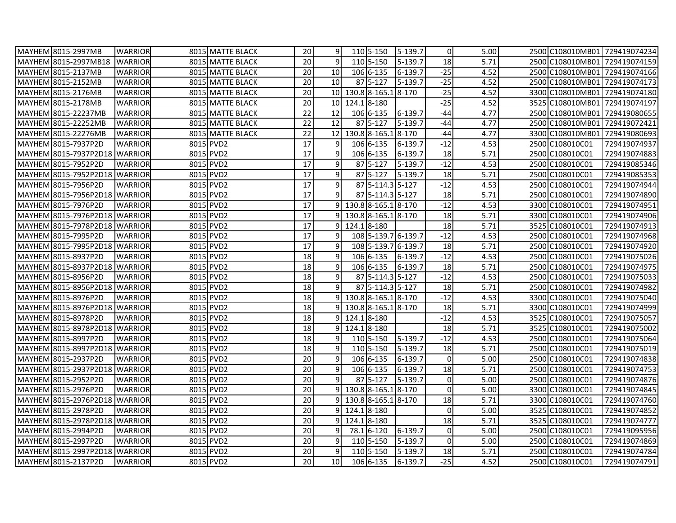| MAYHEM 8015-2997MB            | <b>WARRIOR</b> | 8015 MATTE BLACK | 20              | 9               | 110 5-150             | 5-139.7             | $\overline{0}$      | 5.00 |                  | 2500 C108010MB01 729419074234 |
|-------------------------------|----------------|------------------|-----------------|-----------------|-----------------------|---------------------|---------------------|------|------------------|-------------------------------|
| MAYHEM 8015-2997MB18          | <b>WARRIOR</b> | 8015 MATTE BLACK | $\overline{20}$ | 9               | 110 5-150             | 5-139.7             | $\overline{18}$     | 5.71 | 2500 C108010MB01 | 729419074159                  |
| MAYHEM 8015-2137MB            | <b>WARRIOR</b> | 8015 MATTE BLACK | 20              | 10              | 106 6-135             | 6-139.7             | $-25$               | 4.52 |                  | 2500 C108010MB01 729419074166 |
| MAYHEM 8015-2152MB            | <b>WARRIOR</b> | 8015 MATTE BLACK | 20              | 10              | $\overline{87}$ 5-127 | 5-139.7             | $-25$               | 4.52 | 2500 C108010MB01 | 729419074173                  |
| MAYHEM 8015-2176MB            | <b>WARRIOR</b> | 8015 MATTE BLACK | $\overline{20}$ | 10 <sup>1</sup> | 130.8 8-165.1 8-170   |                     | $-25$               | 4.52 | 3300 C108010MB01 | 729419074180                  |
| MAYHEM 8015-2178MB            | <b>WARRIOR</b> | 8015 MATTE BLACK | 20              | 10 <sup>1</sup> | 124.18-180            |                     | $-25$               | 4.52 | 3525 C108010MB01 | 729419074197                  |
| MAYHEM 8015-22237MB           | <b>WARRIOR</b> | 8015 MATTE BLACK | 22              | 12              | 106 6-135             | 6-139.7             | $-44$               | 4.77 | 2500 C108010MB01 | 729419080655                  |
| MAYHEM 8015-22252MB           | <b>WARRIOR</b> | 8015 MATTE BLACK | 22              | 12              | 87 5-127              | 5-139.7             | $-44$               | 4.77 | 2500 C108010MB01 | 729419072421                  |
| MAYHEM 8015-22276MB           | <b>WARRIOR</b> | 8015 MATTE BLACK | $\overline{22}$ | 12              | 130.8 8-165.1         | 8-170               | $-44$               | 4.77 | 3300 C108010MB01 | 729419080693                  |
| MAYHEM 8015-7937P2D           | <b>WARRIOR</b> | 8015 PVD2        | 17              | 9               | 106 6-135             | 6-139.7             | $-12$               | 4.53 | 2500 C108010C01  | 729419074937                  |
| MAYHEM 8015-7937P2D18         | <b>WARRIOR</b> | 8015 PVD2        | $\overline{17}$ | 9               | 106 6-135             | 6-139.7             | 18                  | 5.71 | 2500 C108010C01  | 729419074883                  |
| MAYHEM 8015-7952P2D           | <b>WARRIOR</b> | 8015 PVD2        | 17              | 9               | 87 5-127              | 5-139.7             | $-12$               | 4.53 | 2500 C108010C01  | 729419085346                  |
| MAYHEM 8015-7952P2D18 WARRIOR |                | 8015 PVD2        | 17              | 9               | 87 5-127              | 5-139.7             | 18                  | 5.71 | 2500 C108010C01  | 729419085353                  |
| MAYHEM 8015-7956P2D           | <b>WARRIOR</b> | 8015 PVD2        | $\overline{17}$ | 9               | 87 5-114.3 5-127      |                     | $-12$               | 4.53 | 2500 C108010C01  | 729419074944                  |
| MAYHEM 8015-7956P2D18 WARRIOR |                | 8015 PVD2        | $\overline{17}$ | 9               | 87 5-114.3 5-127      |                     | 18                  | 5.71 | 2500 C108010C01  | 729419074890                  |
| MAYHEM 8015-7976P2D           | <b>WARRIOR</b> | 8015 PVD2        | $\overline{17}$ | $\overline{9}$  | 130.8 8-165.1 8-170   |                     | $-12$               | 4.53 | 3300 C108010C01  | 729419074951                  |
| MAYHEM 8015-7976P2D18 WARRIOR |                | 8015 PVD2        | 17              | 91              | 130.8 8-165.1 8-170   |                     | 18                  | 5.71 | 3300 C108010C01  | 729419074906                  |
| MAYHEM 8015-7978P2D18 WARRIOR |                | 8015 PVD2        | 17              | 9               | 124.18-180            |                     | 18                  | 5.71 | 3525 C108010C01  | 729419074913                  |
| MAYHEM 8015-7995P2D           | <b>WARRIOR</b> | 8015 PVD2        | $\overline{17}$ | 9               |                       | 108 5-139.7 6-139.7 | $-12$               | 4.53 | 2500 C108010C01  | 729419074968                  |
| MAYHEM 8015-7995P2D18 WARRIOR |                | 8015 PVD2        | $\overline{17}$ | 9               |                       | 108 5-139.7 6-139.7 | 18                  | 5.71 | 2500 C108010C01  | 729419074920                  |
| MAYHEM 8015-8937P2D           | <b>WARRIOR</b> | 8015 PVD2        | 18              | 9               | 106 6-135             | $6 - 139.7$         | $-12$               | 4.53 | 2500 C108010C01  | 729419075026                  |
| MAYHEM 8015-8937P2D18 WARRIOR |                | 8015 PVD2        | $\overline{18}$ | 9               | 106 6-135             | 6-139.7             | 18                  | 5.71 | 2500 C108010C01  | 729419074975                  |
| MAYHEM 8015-8956P2D           | <b>WARRIOR</b> | 8015 PVD2        | $\overline{18}$ | 9               | 87 5-114.3 5-127      |                     | $-12$               | 4.53 | 2500 C108010C01  | 729419075033                  |
| MAYHEM 8015-8956P2D18 WARRIOR |                | 8015 PVD2        | $\overline{18}$ | 9               | 87 5-114.3 5-127      |                     | 18                  | 5.71 | 2500 C108010C01  | 729419074982                  |
| MAYHEM 8015-8976P2D           | <b>WARRIOR</b> | 8015 PVD2        | $\overline{18}$ | 9 <sup>1</sup>  | 130.8 8-165.1 8-170   |                     | $-12$               | 4.53 | 3300 C108010C01  | 729419075040                  |
| MAYHEM 8015-8976P2D18 WARRIOR |                | 8015 PVD2        | 18              | 9l              | 130.8 8-165.1 8-170   |                     | 18                  | 5.71 | 3300 C108010C01  | 729419074999                  |
| MAYHEM 8015-8978P2D           | <b>WARRIOR</b> | 8015 PVD2        | $\overline{18}$ | 9               | 124.18-180            |                     | $-12$               | 4.53 | 3525 C108010C01  | 729419075057                  |
| MAYHEM 8015-8978P2D18 WARRIOR |                | 8015 PVD2        | 18              | 91              | 124.18-180            |                     | 18                  | 5.71 | 3525 C108010C01  | 729419075002                  |
| MAYHEM 8015-8997P2D           | <b>WARRIOR</b> | 8015 PVD2        | 18              | 9               | 110 5-150             | 5-139.7             | $-12$               | 4.53 | 2500 C108010C01  | 729419075064                  |
| MAYHEM 8015-8997P2D18 WARRIOR |                | 8015 PVD2        | $\overline{18}$ | 9               | 110 5-150             | 5-139.7             | 18                  | 5.71 | 2500 C108010C01  | 729419075019                  |
| MAYHEM 8015-2937P2D           | <b>WARRIOR</b> | 8015 PVD2        | 20              | $9\,$           | 106 6-135             | 6-139.7             | $\mathsf{O}$        | 5.00 | 2500 C108010C01  | 729419074838                  |
| MAYHEM 8015-2937P2D18 WARRIOR |                | 8015 PVD2        | 20              | 9               | 106 6-135             | 6-139.7             | 18                  | 5.71 | 2500 C108010C01  | 729419074753                  |
| MAYHEM 8015-2952P2D           | <b>WARRIOR</b> | 8015 PVD2        | 20              | 9               | 87 5-127              | 5-139.7             | $\mathbf 0$         | 5.00 | 2500 C108010C01  | 729419074876                  |
| MAYHEM 8015-2976P2D           | <b>WARRIOR</b> | 8015 PVD2        | $\overline{20}$ | 9 <sub>l</sub>  | 130.8 8-165.1 8-170   |                     | $\mathsf{O}\xspace$ | 5.00 | 3300 C108010C01  | 729419074845                  |
| MAYHEM 8015-2976P2D18         | <b>WARRIOR</b> | 8015 PVD2        | 20              | 9               | 130.8 8-165.1 8-170   |                     | $\overline{18}$     | 5.71 | 3300 C108010C01  | 729419074760                  |
| MAYHEM 8015-2978P2D           | <b>WARRIOR</b> | 8015 PVD2        | 20              | 9 <sub>l</sub>  | 124.18-180            |                     | $\mathsf{O}$        | 5.00 | 3525 C108010C01  | 729419074852                  |
| MAYHEM 8015-2978P2D18         | <b>WARRIOR</b> | 8015 PVD2        | 20              | $\overline{9}$  | 124.18-180            |                     | 18                  | 5.71 | 3525 C108010C01  | 729419074777                  |
| MAYHEM 8015-2994P2D           | <b>WARRIOR</b> | 8015 PVD2        | $\overline{20}$ | 9               | 78.1 6-120            | 6-139.7             | $\mathsf{O}$        | 5.00 | 2500 C108010C01  | 729419095956                  |
| MAYHEM 8015-2997P2D           | <b>WARRIOR</b> | 8015 PVD2        | 20              | 9               | 110 5-150             | 5-139.7             | $\mathsf{O}$        | 5.00 | 2500 C108010C01  | 729419074869                  |
| MAYHEM 8015-2997P2D18 WARRIOR |                | 8015 PVD2        | 20              | 9               | 110 5-150             | 5-139.7             | 18                  | 5.71 | 2500 C108010C01  | 729419074784                  |
| MAYHEM 8015-2137P2D           | <b>WARRIOR</b> | 8015 PVD2        | 20              | 10              | 106 6-135             | 6-139.7             | $-25$               | 4.52 | 2500 C108010C01  | 729419074791                  |